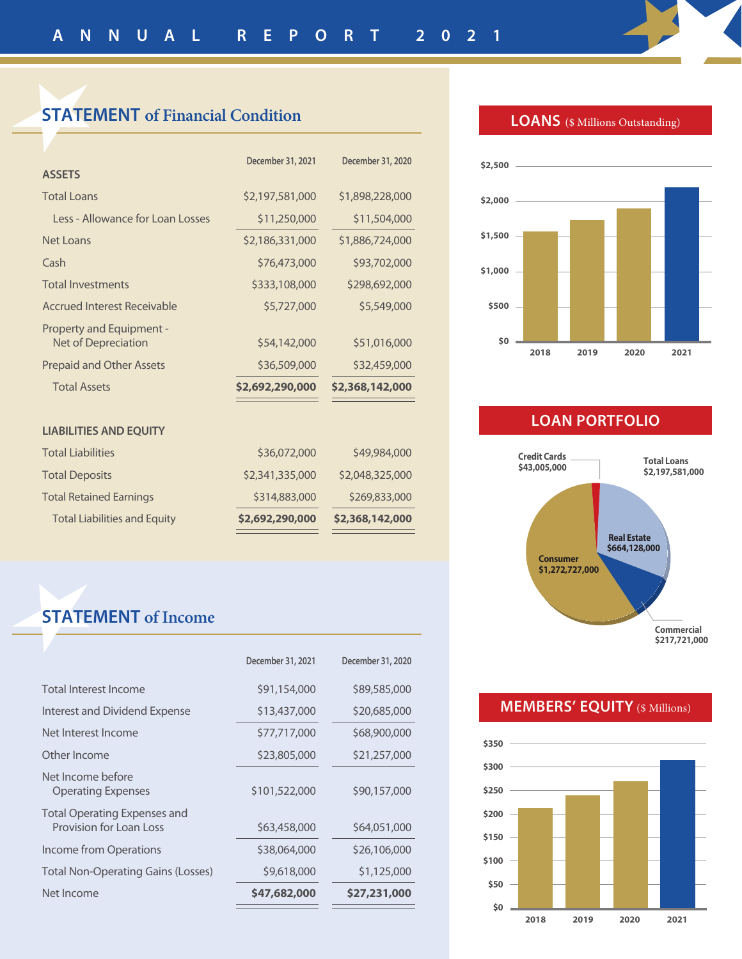## **STATEMENT of Financial Condition**

|                                                 | December 31, 2021 | December 31, 2020 |
|-------------------------------------------------|-------------------|-------------------|
| <b>ASSETS</b>                                   |                   |                   |
| <b>Total Loans</b>                              | \$2,197,581,000   | \$1,898,228,000   |
| Less - Allowance for Loan Losses                | \$11,250,000      | \$11,504,000      |
| Net Loans                                       | \$2,186,331,000   | \$1,886,724,000   |
| Cash                                            | \$76,473,000      | \$93,702,000      |
| <b>Total Investments</b>                        | \$333,108,000     | \$298,692,000     |
| Accrued Interest Receivable                     | \$5,727,000       | \$5,549,000       |
| Property and Equipment -<br>Net of Depreciation | \$54,142,000      | \$51,016,000      |
| <b>Prepaid and Other Assets</b>                 | \$36,509,000      | \$32,459,000      |
| <b>Total Assets</b>                             | \$2,692,290,000   | \$2,368,142,000   |
| <b>LIABILITIES AND EQUITY</b>                   |                   |                   |
| <b>Total Liabilities</b>                        | \$36,072,000      | \$49,984,000      |
| <b>Total Deposits</b>                           | \$2,341,335,000   | \$2,048,325,000   |
| <b>Total Retained Earnings</b>                  | \$314,883,000     | \$269,833,000     |
| <b>Total Liabilities and Equity</b>             | \$2,692,290,000   | \$2,368,142,000   |
|                                                 |                   |                   |

# **STATEMENT of Income**

|                                                         | December 31, 2021 | December 31, 2020 |
|---------------------------------------------------------|-------------------|-------------------|
| Total Interest Income                                   | \$91,154,000      | \$89,585,000      |
| Interest and Dividend Expense                           | \$13,437,000      | \$20,685,000      |
| Net Interest Income                                     | \$77,717,000      | \$68,900,000      |
| Other Income                                            | \$23,805,000      | \$21,257,000      |
| Net Income before<br><b>Operating Expenses</b>          | \$101,522,000     | \$90,157,000      |
| Total Operating Expenses and<br>Provision for Loan Loss | \$63,458,000      | \$64,051,000      |
| Income from Operations                                  | \$38,064,000      | \$26,106,000      |
| <b>Total Non-Operating Gains (Losses)</b>               | \$9,618,000       | \$1,125,000       |
| Net Income                                              | \$47,682,000      | \$27,231,000      |
|                                                         |                   |                   |

#### **LOANS** (\$ Millions Outstanding)



### **LOAN PORTFOLIO**



### **MEMBERS' EQUITY** (\$ Millions)